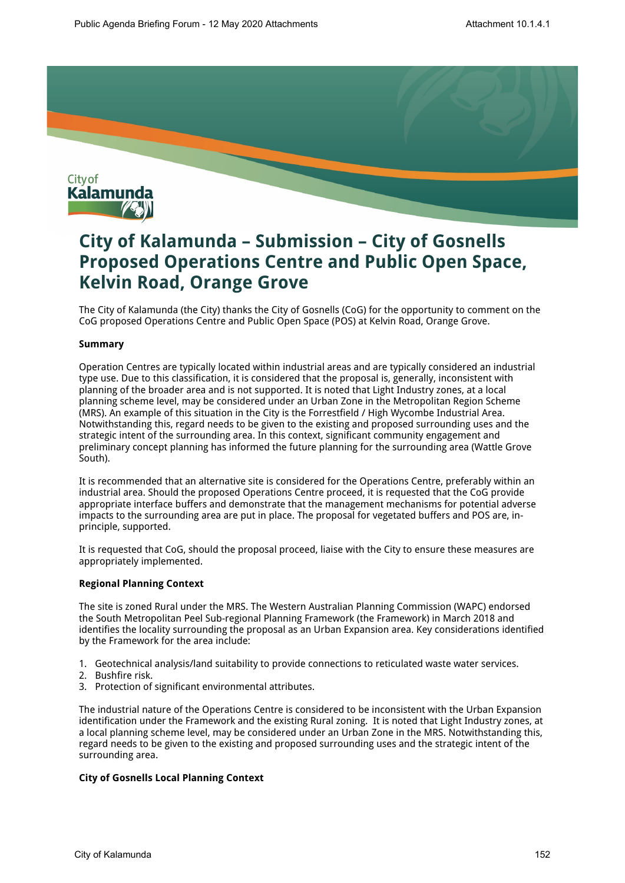

# **City of Kalamunda – Submission – City of Gosnells Proposed Operations Centre and Public Open Space, Kelvin Road, Orange Grove**

The City of Kalamunda (the City) thanks the City of Gosnells (CoG) for the opportunity to comment on the CoG proposed Operations Centre and Public Open Space (POS) at Kelvin Road, Orange Grove.

### **Summary**

Operation Centres are typically located within industrial areas and are typically considered an industrial type use. Due to this classification, it is considered that the proposal is, generally, inconsistent with planning of the broader area and is not supported. It is noted that Light Industry zones, at a local planning scheme level, may be considered under an Urban Zone in the Metropolitan Region Scheme (MRS). An example of this situation in the City is the Forrestfield / High Wycombe Industrial Area. Notwithstanding this, regard needs to be given to the existing and proposed surrounding uses and the strategic intent of the surrounding area. In this context, significant community engagement and preliminary concept planning has informed the future planning for the surrounding area (Wattle Grove South).

It is recommended that an alternative site is considered for the Operations Centre, preferably within an industrial area. Should the proposed Operations Centre proceed, it is requested that the CoG provide appropriate interface buffers and demonstrate that the management mechanisms for potential adverse impacts to the surrounding area are put in place. The proposal for vegetated buffers and POS are, inprinciple, supported.

It is requested that CoG, should the proposal proceed, liaise with the City to ensure these measures are appropriately implemented.

# **Regional Planning Context**

The site is zoned Rural under the MRS. The Western Australian Planning Commission (WAPC) endorsed the South Metropolitan Peel Sub-regional Planning Framework (the Framework) in March 2018 and identifies the locality surrounding the proposal as an Urban Expansion area. Key considerations identified by the Framework for the area include:

- 1. Geotechnical analysis/land suitability to provide connections to reticulated waste water services.
- 2. Bushfire risk.
- 3. Protection of significant environmental attributes.

The industrial nature of the Operations Centre is considered to be inconsistent with the Urban Expansion identification under the Framework and the existing Rural zoning. It is noted that Light Industry zones, at a local planning scheme level, may be considered under an Urban Zone in the MRS. Notwithstanding this, regard needs to be given to the existing and proposed surrounding uses and the strategic intent of the surrounding area.

# **City of Gosnells Local Planning Context**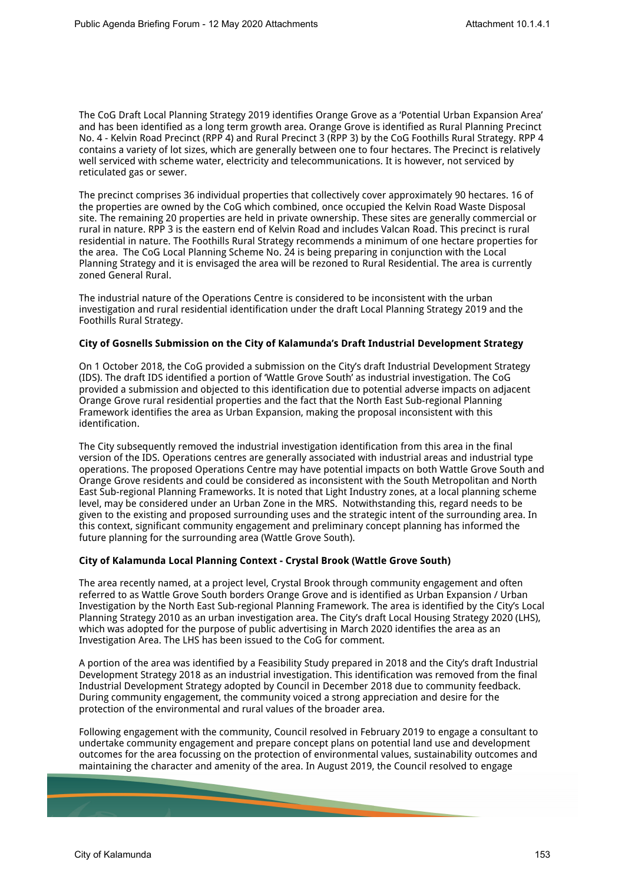The CoG Draft Local Planning Strategy 2019 identifies Orange Grove as a 'Potential Urban Expansion Area' and has been identified as a long term growth area. Orange Grove is identified as Rural Planning Precinct No. 4 - Kelvin Road Precinct (RPP 4) and Rural Precinct 3 (RPP 3) by the CoG Foothills Rural Strategy. RPP 4 contains a variety of lot sizes, which are generally between one to four hectares. The Precinct is relatively well serviced with scheme water, electricity and telecommunications. It is however, not serviced by reticulated gas or sewer.

The precinct comprises 36 individual properties that collectively cover approximately 90 hectares. 16 of the properties are owned by the CoG which combined, once occupied the Kelvin Road Waste Disposal site. The remaining 20 properties are held in private ownership. These sites are generally commercial or rural in nature. RPP 3 is the eastern end of Kelvin Road and includes Valcan Road. This precinct is rural residential in nature. The Foothills Rural Strategy recommends a minimum of one hectare properties for the area. The CoG Local Planning Scheme No. 24 is being preparing in conjunction with the Local Planning Strategy and it is envisaged the area will be rezoned to Rural Residential. The area is currently zoned General Rural.

The industrial nature of the Operations Centre is considered to be inconsistent with the urban investigation and rural residential identification under the draft Local Planning Strategy 2019 and the Foothills Rural Strategy.

### **City of Gosnells Submission on the City of Kalamunda's Draft Industrial Development Strategy**

On 1 October 2018, the CoG provided a submission on the City's draft Industrial Development Strategy (IDS). The draft IDS identified a portion of 'Wattle Grove South' as industrial investigation. The CoG provided a submission and objected to this identification due to potential adverse impacts on adjacent Orange Grove rural residential properties and the fact that the North East Sub-regional Planning Framework identifies the area as Urban Expansion, making the proposal inconsistent with this identification.

The City subsequently removed the industrial investigation identification from this area in the final version of the IDS. Operations centres are generally associated with industrial areas and industrial type operations. The proposed Operations Centre may have potential impacts on both Wattle Grove South and Orange Grove residents and could be considered as inconsistent with the South Metropolitan and North East Sub-regional Planning Frameworks. It is noted that Light Industry zones, at a local planning scheme level, may be considered under an Urban Zone in the MRS. Notwithstanding this, regard needs to be given to the existing and proposed surrounding uses and the strategic intent of the surrounding area. In this context, significant community engagement and preliminary concept planning has informed the future planning for the surrounding area (Wattle Grove South).

#### **City of Kalamunda Local Planning Context - Crystal Brook (Wattle Grove South)**

The area recently named, at a project level, Crystal Brook through community engagement and often referred to as Wattle Grove South borders Orange Grove and is identified as Urban Expansion / Urban Investigation by the North East Sub-regional Planning Framework. The area is identified by the City's Local Planning Strategy 2010 as an urban investigation area. The City's draft Local Housing Strategy 2020 (LHS), which was adopted for the purpose of public advertising in March 2020 identifies the area as an Investigation Area. The LHS has been issued to the CoG for comment.

A portion of the area was identified by a Feasibility Study prepared in 2018 and the City's draft Industrial Development Strategy 2018 as an industrial investigation. This identification was removed from the final Industrial Development Strategy adopted by Council in December 2018 due to community feedback. During community engagement, the community voiced a strong appreciation and desire for the protection of the environmental and rural values of the broader area.

Following engagement with the community, Council resolved in February 2019 to engage a consultant to undertake community engagement and prepare concept plans on potential land use and development outcomes for the area focussing on the protection of environmental values, sustainability outcomes and maintaining the character and amenity of the area. In August 2019, the Council resolved to engage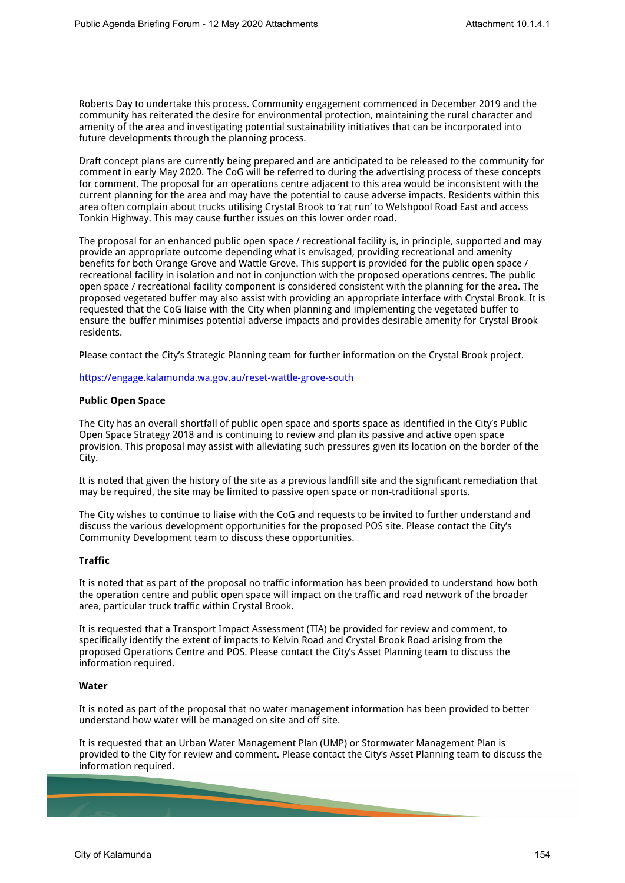Roberts Day to undertake this process. Community engagement commenced in December 2019 and the community has reiterated the desire for environmental protection, maintaining the rural character and amenity of the area and investigating potential sustainability initiatives that can be incorporated into future developments through the planning process.

Draft concept plans are currently being prepared and are anticipated to be released to the community for comment in early May 2020. The CoG will be referred to during the advertising process of these concepts for comment. The proposal for an operations centre adjacent to this area would be inconsistent with the current planning for the area and may have the potential to cause adverse impacts. Residents within this area often complain about trucks utilising Crystal Brook to 'rat run' to Welshpool Road East and access Tonkin Highway. This may cause further issues on this lower order road.

The proposal for an enhanced public open space / recreational facility is, in principle, supported and may provide an appropriate outcome depending what is envisaged, providing recreational and amenity benefits for both Orange Grove and Wattle Grove. This support is provided for the public open space / recreational facility in isolation and not in conjunction with the proposed operations centres. The public open space / recreational facility component is considered consistent with the planning for the area. The proposed vegetated buffer may also assist with providing an appropriate interface with Crystal Brook. It is requested that the CoG liaise with the City when planning and implementing the vegetated buffer to ensure the buffer minimises potential adverse impacts and provides desirable amenity for Crystal Brook residents.

Please contact the City's Strategic Planning team for further information on the Crystal Brook project.

<https://engage.kalamunda.wa.gov.au/reset-wattle-grove-south>

### **Public Open Space**

The City has an overall shortfall of public open space and sports space as identified in the City's Public Open Space Strategy 2018 and is continuing to review and plan its passive and active open space provision. This proposal may assist with alleviating such pressures given its location on the border of the City.

It is noted that given the history of the site as a previous landfill site and the significant remediation that may be required, the site may be limited to passive open space or non-traditional sports.

The City wishes to continue to liaise with the CoG and requests to be invited to further understand and discuss the various development opportunities for the proposed POS site. Please contact the City's Community Development team to discuss these opportunities.

# **Traffic**

It is noted that as part of the proposal no traffic information has been provided to understand how both the operation centre and public open space will impact on the traffic and road network of the broader area, particular truck traffic within Crystal Brook.

It is requested that a Transport Impact Assessment (TIA) be provided for review and comment, to specifically identify the extent of impacts to Kelvin Road and Crystal Brook Road arising from the proposed Operations Centre and POS. Please contact the City's Asset Planning team to discuss the information required.

#### **Water**

It is noted as part of the proposal that no water management information has been provided to better understand how water will be managed on site and off site.

It is requested that an Urban Water Management Plan (UMP) or Stormwater Management Plan is provided to the City for review and comment. Please contact the City's Asset Planning team to discuss the information required.